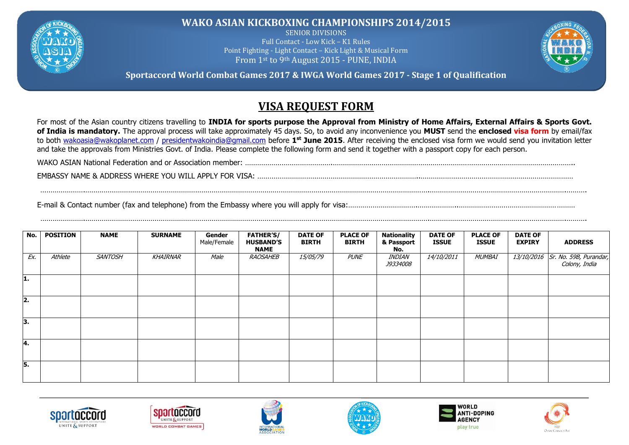

**WAKO ASIAN KICKBOXING CHAMPIONSHIPS 2014/2015**

SENIOR DIVISIONS Full Contact - Low Kick – K1 Rules Point Fighting - Light Contact – Kick Light & Musical Form From 1st to 9th August 2015 - PUNE, INDIA



**Sportaccord World Combat Games 2017 & IWGA World Games 2017 - Stage 1 of Qualification**

## **VISA REQUEST FORM**

For most of the Asian country citizens travelling to **INDIA for sports purpose the Approval from Ministry of Home Affairs, External Affairs & Sports Govt. of India is mandatory.** The approval process will take approximately 45 days. So, to avoid any inconvenience you **MUST** send the **enclosed visa form** by email/fax to both [wakoasia@wakoplanet.com](mailto:wakoasia@wakoplanet.com) / [presidentwakoindia@gmail.com](mailto:presidentwakoindia@gmail.com) before **1 st June 2015**. After receiving the enclosed visa form we would send you invitation letter and take the approvals from Ministries Govt. of India. Please complete the following form and send it together with a passport copy for each person.

WAKO ASIAN National Federation and or Association member: …………………………………….………………………………………………………………………………………………………..

………………….…………………………………………………………………………………………………………………………………………………….………………………………………………………….……….

………………….…………………………………………………………………………………………………………………………………………………….………………………………………………………….……….

EMBASSY NAME & ADDRESS WHERE YOU WILL APPLY FOR VISA: ……………………………………………………………………..…………………………………………………………………

E-mail & Contact number (fax and telephone) from the Embassy where you will apply for visa:…………………………….………………..…………………………………………………

| No. | <b>POSITION</b> | <b>NAME</b>    | <b>SURNAME</b> | Gender<br>Male/Female | <b>FATHER'S/</b><br><b>HUSBAND'S</b><br><b>NAME</b> | <b>DATE OF</b><br><b>BIRTH</b> | <b>PLACE OF</b><br><b>BIRTH</b> | <b>Nationality</b><br>& Passport<br>No. | <b>DATE OF</b><br><b>ISSUE</b> | <b>PLACE OF</b><br><b>ISSUE</b> | <b>DATE OF</b><br><b>EXPIRY</b> | <b>ADDRESS</b>                                       |
|-----|-----------------|----------------|----------------|-----------------------|-----------------------------------------------------|--------------------------------|---------------------------------|-----------------------------------------|--------------------------------|---------------------------------|---------------------------------|------------------------------------------------------|
| Ex. | Athlete         | <b>SANTOSH</b> | KHAIRNAR       | Male                  | RAOSAHEB                                            | <i>15/05/79</i>                | <b>PUNE</b>                     | <i>INDIAN</i><br><i>J9334008</i>        | <i>14/10/2011</i>              | MUMBAI                          |                                 | $13/10/2016$ Sr. No. 59B, Purandar,<br>Colony, India |
| 11. |                 |                |                |                       |                                                     |                                |                                 |                                         |                                |                                 |                                 |                                                      |
| 2.  |                 |                |                |                       |                                                     |                                |                                 |                                         |                                |                                 |                                 |                                                      |
| 3.  |                 |                |                |                       |                                                     |                                |                                 |                                         |                                |                                 |                                 |                                                      |
| 14. |                 |                |                |                       |                                                     |                                |                                 |                                         |                                |                                 |                                 |                                                      |
| 5.  |                 |                |                |                       |                                                     |                                |                                 |                                         |                                |                                 |                                 |                                                      |